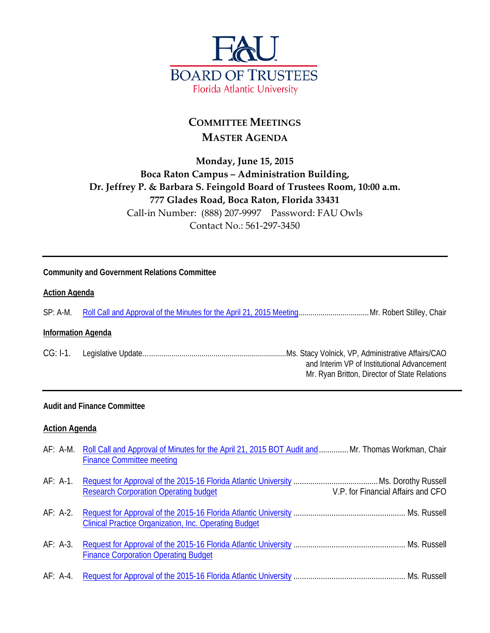

# **COMMITTEE MEETINGS MASTER AGENDA**

## **Monday, June 15, 2015 Boca Raton Campus – Administration Building, Dr. Jeffrey P. & Barbara S. Feingold Board of Trustees Room, 10:00 a.m. 777 Glades Road, Boca Raton, Florida 33431** Call-in Number: (888) 207-9997 Password: FAU Owls Contact No.: 561-297-3450

#### **Community and Government Relations Committee**

#### **Action Agenda**

SP: A-M. [Roll Call and Approval of the Minutes for the April 21, 2015 Meeting.](http://fau.edu/bot/meetings/06152015_committee_meetings/CG/rollcall.pdf)..................................Mr. Robert Stilley, Chair

#### **Information Agenda**

CG: I-1. Legislative Update.......................................................................Ms. Stacy Volnick, VP, Administrative Affairs/CAO and Interim VP of Institutional Advancement Mr. Ryan Britton, Director of State Relations

#### **Audit and Finance Committee**

#### **Action Agenda**

|                                    | AF: A-M. Roll Call and Approval of Minutes for the April 21, 2015 BOT Audit and  Mr. Thomas Workman, Chair<br><b>Finance Committee meeting</b> |  |
|------------------------------------|------------------------------------------------------------------------------------------------------------------------------------------------|--|
| V.P. for Financial Affairs and CFO | <b>Research Corporation Operating budget</b>                                                                                                   |  |
|                                    | <b>Clinical Practice Organization, Inc. Operating Budget</b>                                                                                   |  |
|                                    | <b>Finance Corporation Operating Budget</b>                                                                                                    |  |
|                                    |                                                                                                                                                |  |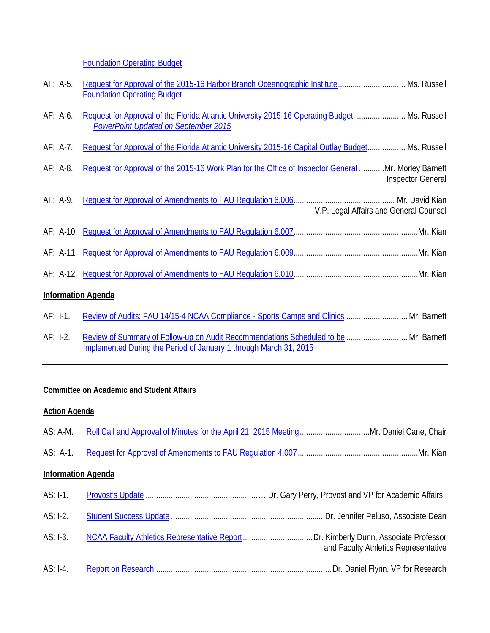**[Foundation Operating Budget](http://fau.edu/bot/meetings/06152015_committee_meetings/AF/af_a4.pdf)** 

| AF: A-5.   | Request for Approval of the 2015-16 Harbor Branch Oceanographic Institute Ms. Russell<br><b>Foundation Operating Budget</b>                               |                          |
|------------|-----------------------------------------------------------------------------------------------------------------------------------------------------------|--------------------------|
| AF: A-6.   | Request for Approval of the Florida Atlantic University 2015-16 Operating Budget.  Ms. Russell<br><b>PowerPoint Updated on September 2015</b>             |                          |
| AF: A-7.   | Request for Approval of the Florida Atlantic University 2015-16 Capital Outlay Budget Ms. Russell                                                         |                          |
| AF: A-8.   | Request for Approval of the 2015-16 Work Plan for the Office of Inspector General Mr. Morley Barnett                                                      | <b>Inspector General</b> |
| $AF: A-9.$ | V.P. Legal Affairs and General Counsel                                                                                                                    |                          |
|            |                                                                                                                                                           |                          |
|            |                                                                                                                                                           |                          |
|            |                                                                                                                                                           |                          |
|            | <b>Information Agenda</b>                                                                                                                                 |                          |
| $AF: I-1.$ | Review of Audits: FAU 14/15-4 NCAA Compliance - Sports Camps and Clinics  Mr. Barnett                                                                     |                          |
| $AF: I-2.$ | Review of Summary of Follow-up on Audit Recommendations Scheduled to be  Mr. Barnett<br>Implemented During the Period of January 1 through March 31, 2015 |                          |

### **Committee on Academic and Student Affairs**

### **Action Agenda**

| AS: A-M.                  |                                      |
|---------------------------|--------------------------------------|
| $AS: A-1.$                |                                      |
| <b>Information Agenda</b> |                                      |
| $AS: I-1.$                |                                      |
| AS: I-2.                  |                                      |
| $AS: I-3.$                | and Faculty Athletics Representative |
| AS: I-4.                  |                                      |